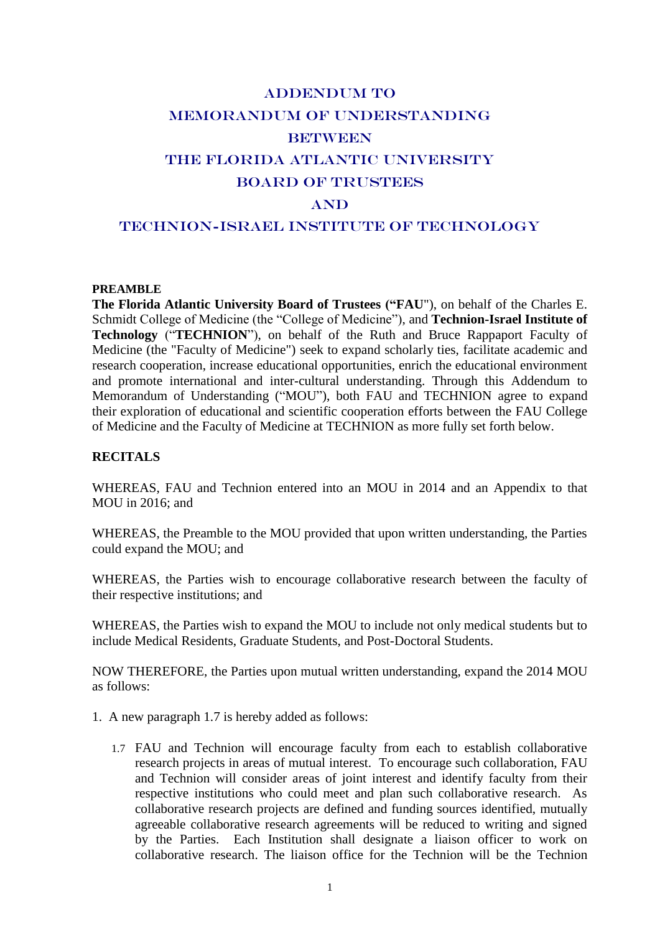# ADDENDUM TO MEMORANDUM OF UNDERSTANDING **BETWEEN** The Florida atlantic university Board of trustees AND

# TECHNION-ISRAEL INSTITUTE OF TECHNOLOGY

#### **PREAMBLE**

**The Florida Atlantic University Board of Trustees ("FAU**"), on behalf of the Charles E. Schmidt College of Medicine (the "College of Medicine"), and **Technion-Israel Institute of Technology** ("**TECHNION**"), on behalf of the Ruth and Bruce Rappaport Faculty of Medicine (the "Faculty of Medicine") seek to expand scholarly ties, facilitate academic and research cooperation, increase educational opportunities, enrich the educational environment and promote international and inter-cultural understanding. Through this Addendum to Memorandum of Understanding ("MOU"), both FAU and TECHNION agree to expand their exploration of educational and scientific cooperation efforts between the FAU College of Medicine and the Faculty of Medicine at TECHNION as more fully set forth below.

## **RECITALS**

WHEREAS, FAU and Technion entered into an MOU in 2014 and an Appendix to that MOU in 2016; and

WHEREAS, the Preamble to the MOU provided that upon written understanding, the Parties could expand the MOU; and

WHEREAS, the Parties wish to encourage collaborative research between the faculty of their respective institutions; and

WHEREAS, the Parties wish to expand the MOU to include not only medical students but to include Medical Residents, Graduate Students, and Post-Doctoral Students.

NOW THEREFORE, the Parties upon mutual written understanding, expand the 2014 MOU as follows:

- 1. A new paragraph 1.7 is hereby added as follows:
	- 1.7 FAU and Technion will encourage faculty from each to establish collaborative research projects in areas of mutual interest. To encourage such collaboration, FAU and Technion will consider areas of joint interest and identify faculty from their respective institutions who could meet and plan such collaborative research. As collaborative research projects are defined and funding sources identified, mutually agreeable collaborative research agreements will be reduced to writing and signed by the Parties. Each Institution shall designate a liaison officer to work on collaborative research. The liaison office for the Technion will be the Technion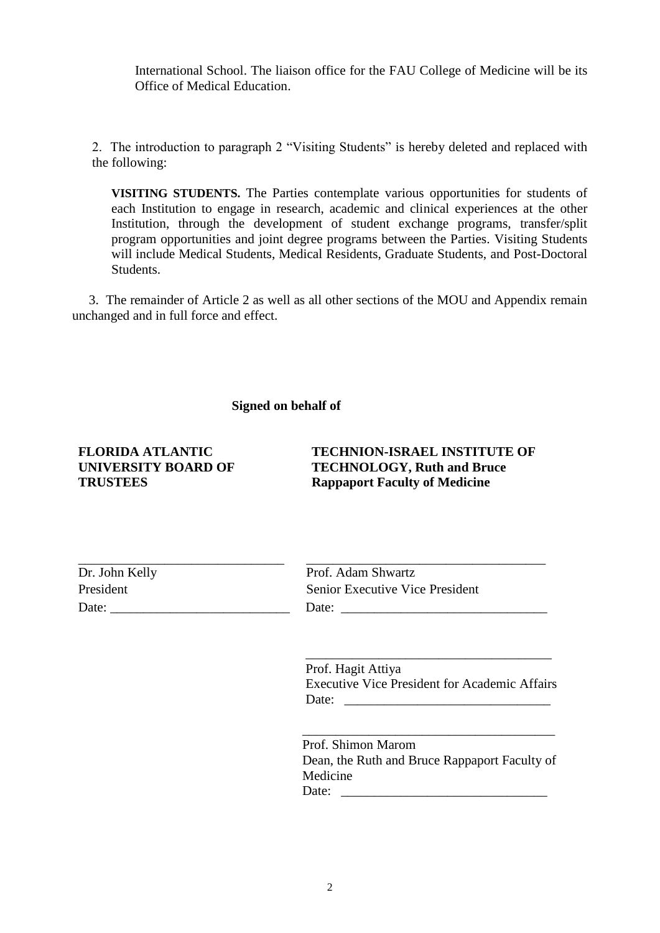International School. The liaison office for the FAU College of Medicine will be its Office of Medical Education.

2. The introduction to paragraph 2 "Visiting Students" is hereby deleted and replaced with the following:

**VISITING STUDENTS.** The Parties contemplate various opportunities for students of each Institution to engage in research, academic and clinical experiences at the other Institution, through the development of student exchange programs, transfer/split program opportunities and joint degree programs between the Parties. Visiting Students will include Medical Students, Medical Residents, Graduate Students, and Post-Doctoral Students.

 3. The remainder of Article 2 as well as all other sections of the MOU and Appendix remain unchanged and in full force and effect.

#### **Signed on behalf of**

#### **FLORIDA ATLANTIC UNIVERSITY BOARD OF TRUSTEES**

# **TECHNION-ISRAEL INSTITUTE OF TECHNOLOGY, Ruth and Bruce Rappaport Faculty of Medicine**

| Dr. John Kelly | Prof. Adam Shwartz                     |
|----------------|----------------------------------------|
| President      | <b>Senior Executive Vice President</b> |
| Date:          | Date:                                  |

Prof. Hagit Attiya Executive Vice President for Academic Affairs Date: \_\_\_\_\_\_\_\_\_\_\_\_\_\_\_\_\_\_\_\_\_\_\_\_\_\_\_\_\_\_\_

\_\_\_\_\_\_\_\_\_\_\_\_\_\_\_\_\_\_\_\_\_\_\_\_\_\_\_\_\_\_\_\_\_\_\_\_\_

Prof. Shimon Marom Dean, the Ruth and Bruce Rappaport Faculty of Medicine Date: \_\_\_\_\_\_\_\_\_\_\_\_\_\_\_\_\_\_\_\_\_\_\_\_\_\_\_\_\_\_\_

\_\_\_\_\_\_\_\_\_\_\_\_\_\_\_\_\_\_\_\_\_\_\_\_\_\_\_\_\_\_\_\_\_\_\_\_\_\_